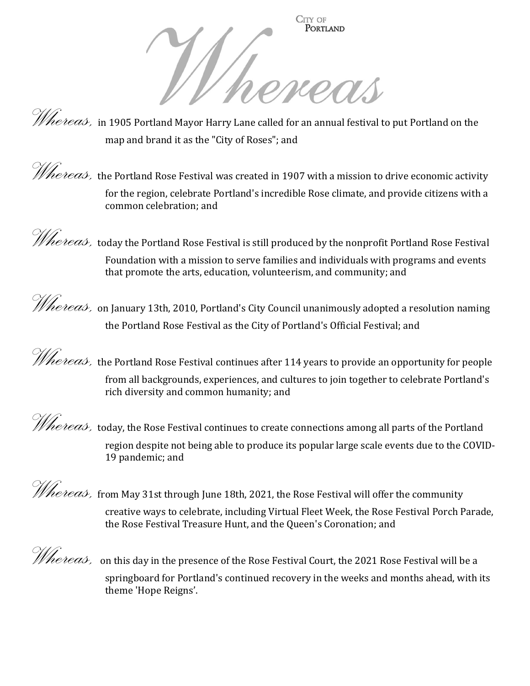

*Whereas,* in 1905 Portland Mayor Harry Lane called for an annual festival to put Portland on the map and brand it as the "City of Roses"; and

*Whereas*, the Portland Rose Festival was created in 1907 with a mission to drive economic activity for the region, celebrate Portland's incredible Rose climate, and provide citizens with a common celebration; and

*Whereas,* today the Portland Rose Festival is still produced by the nonprofit Portland Rose Festival Foundation with a mission to serve families and individuals with programs and events that promote the arts, education, volunteerism, and community; and

Whereas, on January 13th, 2010, Portland's City Council unanimously adopted a resolution naming the Portland Rose Festival as the City of Portland's Official Festival; and

*Whereas,* the Portland Rose Festival continues after 114 years to provide an opportunity for people from all backgrounds, experiences, and cultures to join together to celebrate Portland's rich diversity and common humanity; and

*Whereas,* today, the Rose Festival continues to create connections among all parts of the Portland region despite not being able to produce its popular large scale events due to the COVID-19 pandemic; and

Whereas, from May 31st through June 18th, 2021, the Rose Festival will offer the community creative ways to celebrate, including Virtual Fleet Week, the Rose Festival Porch Parade,

the Rose Festival Treasure Hunt, and the Queen's Coronation; and

 $\mathscr{W}_{\textit{he)}}$ , on this day in the presence of the Rose Festival Court, the 2021 Rose Festival will be a springboard for Portland's continued recovery in the weeks and months ahead, with its theme 'Hope Reigns'.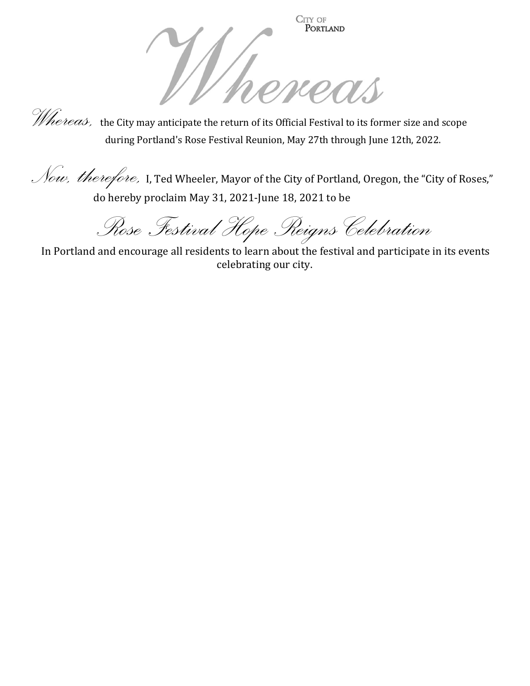



*Whereas*, the City may anticipate the return of its Official Festival to its former size and scope during Portland's Rose Festival Reunion, May 27th through June 12th, 2022.

Now, therefore, I, Ted Wheeler, Mayor of the City of Portland, Oregon, the "City of Roses," do hereby proclaim May 31, 2021-June 18, 2021 to be

Rose Festival Hope Reigns Celebration

 In Portland and encourage all residents to learn about the festival and participate in its events celebrating our city.